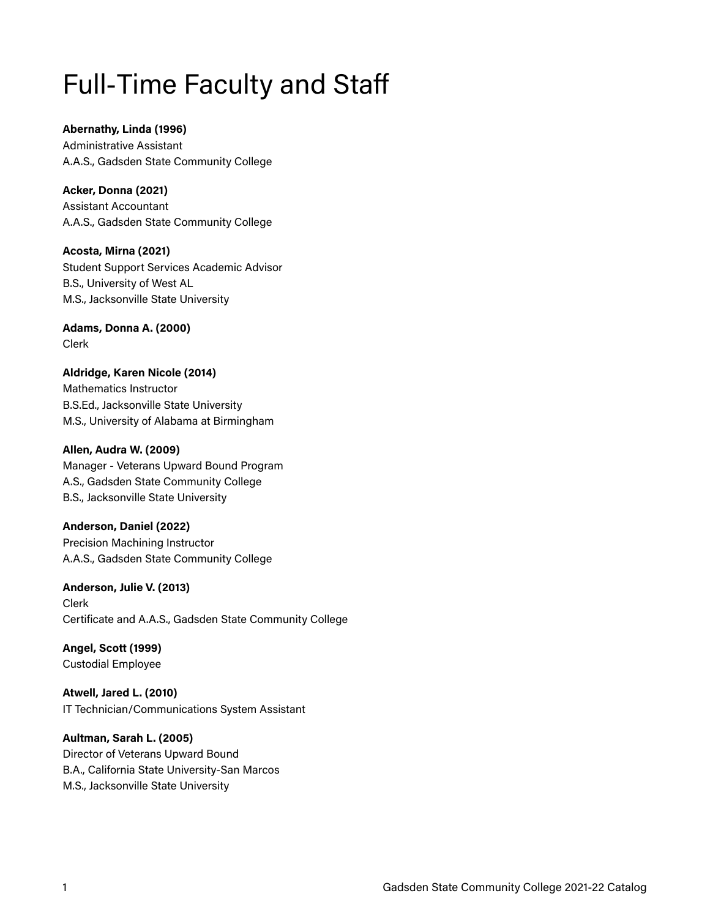# Full-Time Faculty and Staff

**Abernathy, Linda (1996)** Administrative Assistant A.A.S., Gadsden State Community College

**Acker, Donna (2021)**  Assistant Accountant A.A.S., Gadsden State Community College

**Acosta, Mirna (2021)**  Student Support Services Academic Advisor B.S., University of West AL M.S., Jacksonville State University

**Adams, Donna A. (2000)** Clerk

**Aldridge, Karen Nicole (2014)**  Mathematics Instructor B.S.Ed., Jacksonville State University M.S., University of Alabama at Birmingham

**Allen, Audra W. (2009)** Manager - Veterans Upward Bound Program A.S., Gadsden State Community College B.S., Jacksonville State University

**Anderson, Daniel (2022)**  Precision Machining Instructor A.A.S., Gadsden State Community College

**Anderson, Julie V. (2013)** Clerk Certificate and A.A.S., Gadsden State Community College

**Angel, Scott (1999)**  Custodial Employee

**Atwell, Jared L. (2010)**  IT Technician/Communications System Assistant

**Aultman, Sarah L. (2005)**  Director of Veterans Upward Bound B.A., California State University-San Marcos M.S., Jacksonville State University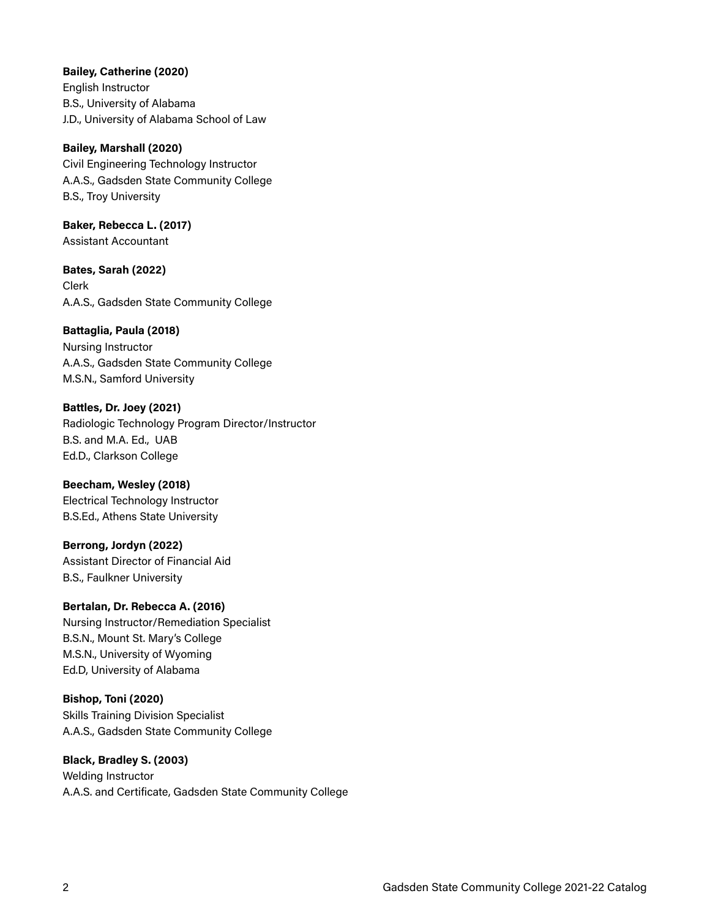**Bailey, Catherine (2020)** 

English Instructor B.S., University of Alabama J.D., University of Alabama School of Law

**Bailey, Marshall (2020)**  Civil Engineering Technology Instructor A.A.S., Gadsden State Community College B.S., Troy University

**Baker, Rebecca L. (2017)**  Assistant Accountant

**Bates, Sarah (2022)**  Clerk A.A.S., Gadsden State Community College

**Battaglia, Paula (2018)** 

Nursing Instructor A.A.S., Gadsden State Community College M.S.N., Samford University

**Battles, Dr. Joey (2021)**  Radiologic Technology Program Director/Instructor B.S. and M.A. Ed., UAB Ed.D., Clarkson College

**Beecham, Wesley (2018)**  Electrical Technology Instructor B.S.Ed., Athens State University

**Berrong, Jordyn (2022)**  Assistant Director of Financial Aid B.S., Faulkner University

#### **Bertalan, Dr. Rebecca A. (2016)**

Nursing Instructor/Remediation Specialist B.S.N., Mount St. Mary's College M.S.N., University of Wyoming Ed.D, University of Alabama

**Bishop, Toni (2020)**  Skills Training Division Specialist A.A.S., Gadsden State Community College

**Black, Bradley S. (2003)**  Welding Instructor A.A.S. and Certificate, Gadsden State Community College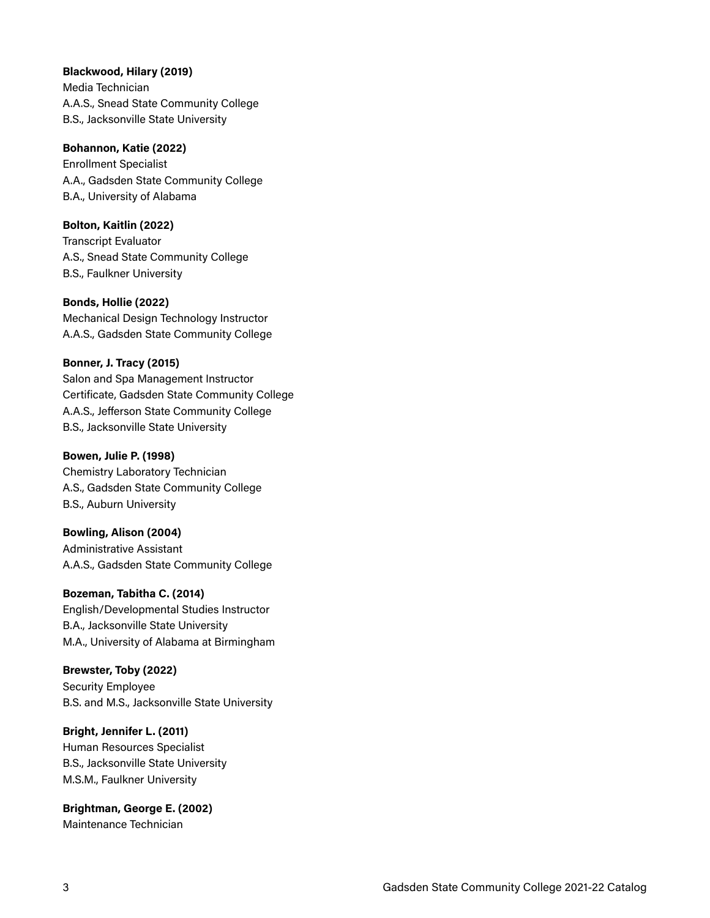**Blackwood, Hilary (2019)** 

Media Technician A.A.S., Snead State Community College B.S., Jacksonville State University

#### **Bohannon, Katie (2022)**

Enrollment Specialist A.A., Gadsden State Community College B.A., University of Alabama

#### **Bolton, Kaitlin (2022)**

Transcript Evaluator A.S., Snead State Community College B.S., Faulkner University

#### **Bonds, Hollie (2022)**

Mechanical Design Technology Instructor A.A.S., Gadsden State Community College

#### **Bonner, J. Tracy (2015)**

Salon and Spa Management Instructor Certificate, Gadsden State Community College A.A.S., Jefferson State Community College B.S., Jacksonville State University

#### **Bowen, Julie P. (1998)**

Chemistry Laboratory Technician A.S., Gadsden State Community College B.S., Auburn University

#### **Bowling, Alison (2004)**

Administrative Assistant A.A.S., Gadsden State Community College

#### **Bozeman, Tabitha C. (2014)**

English/Developmental Studies Instructor B.A., Jacksonville State University M.A., University of Alabama at Birmingham

#### **Brewster, Toby (2022)**

Security Employee B.S. and M.S., Jacksonville State University

#### **Bright, Jennifer L. (2011)**

Human Resources Specialist B.S., Jacksonville State University M.S.M., Faulkner University

#### **Brightman, George E. (2002)**  Maintenance Technician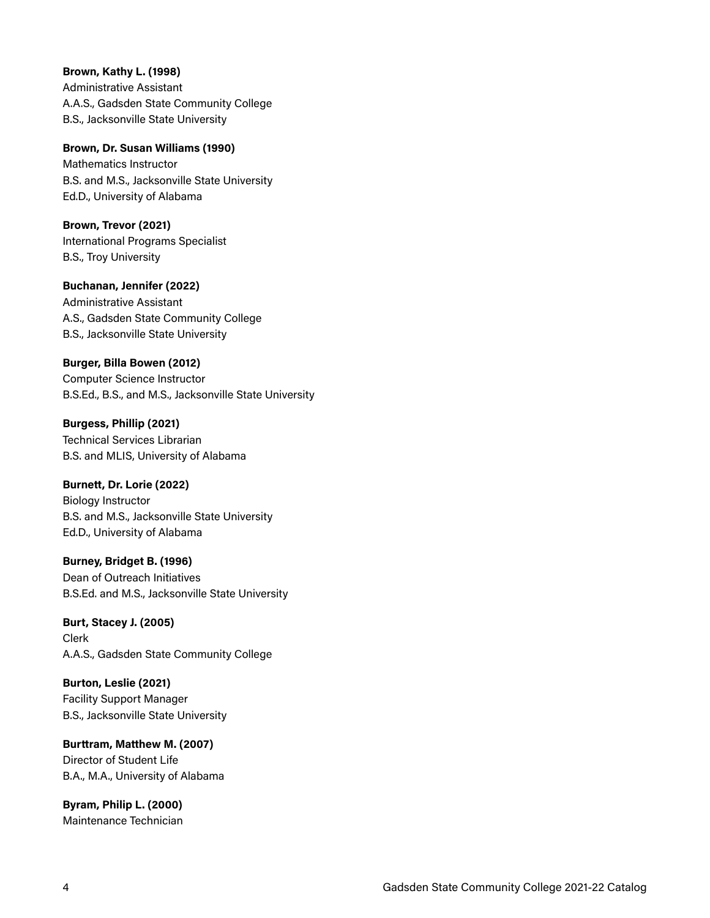**Brown, Kathy L. (1998)**  Administrative Assistant A.A.S., Gadsden State Community College B.S., Jacksonville State University

**Brown, Dr. Susan Williams (1990)**  Mathematics Instructor B.S. and M.S., Jacksonville State University Ed.D., University of Alabama

**Brown, Trevor (2021)**  International Programs Specialist B.S., Troy University

**Buchanan, Jennifer (2022)**  Administrative Assistant A.S., Gadsden State Community College B.S., Jacksonville State University

## **Burger, Billa Bowen (2012)**

Computer Science Instructor B.S.Ed., B.S., and M.S., Jacksonville State University

**Burgess, Phillip (2021)**  Technical Services Librarian B.S. and MLIS, University of Alabama

#### **Burnett, Dr. Lorie (2022)**

Biology Instructor B.S. and M.S., Jacksonville State University Ed.D., University of Alabama

**Burney, Bridget B. (1996)**  Dean of Outreach Initiatives B.S.Ed. and M.S., Jacksonville State University

**Burt, Stacey J. (2005)**  Clerk A.A.S., Gadsden State Community College

**Burton, Leslie (2021)**  Facility Support Manager B.S., Jacksonville State University

**Burttram, Matthew M. (2007)**  Director of Student Life B.A., M.A., University of Alabama

**Byram, Philip L. (2000)**  Maintenance Technician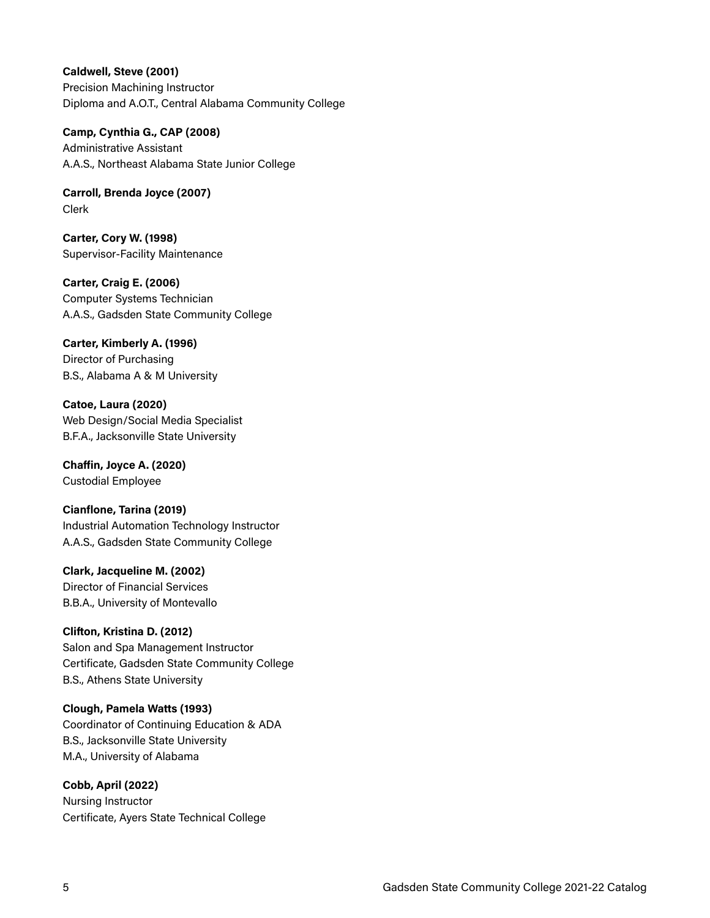**Caldwell, Steve (2001)**  Precision Machining Instructor Diploma and A.O.T., Central Alabama Community College

**Camp, Cynthia G., CAP (2008)**  Administrative Assistant A.A.S., Northeast Alabama State Junior College

**Carroll, Brenda Joyce (2007)**  Clerk

**Carter, Cory W. (1998)**  Supervisor-Facility Maintenance

**Carter, Craig E. (2006)**  Computer Systems Technician A.A.S., Gadsden State Community College

## **Carter, Kimberly A. (1996)**

Director of Purchasing B.S., Alabama A & M University

**Catoe, Laura (2020)**  Web Design/Social Media Specialist B.F.A., Jacksonville State University

**Chaffin, Joyce A. (2020)**  Custodial Employee

**Cianflone, Tarina (2019)**  Industrial Automation Technology Instructor A.A.S., Gadsden State Community College

**Clark, Jacqueline M. (2002)**  Director of Financial Services B.B.A., University of Montevallo

#### **Clifton, Kristina D. (2012)**

Salon and Spa Management Instructor Certificate, Gadsden State Community College B.S., Athens State University

**Clough, Pamela Watts (1993)** 

Coordinator of Continuing Education & ADA B.S., Jacksonville State University M.A., University of Alabama

**Cobb, April (2022)** 

Nursing Instructor Certificate, Ayers State Technical College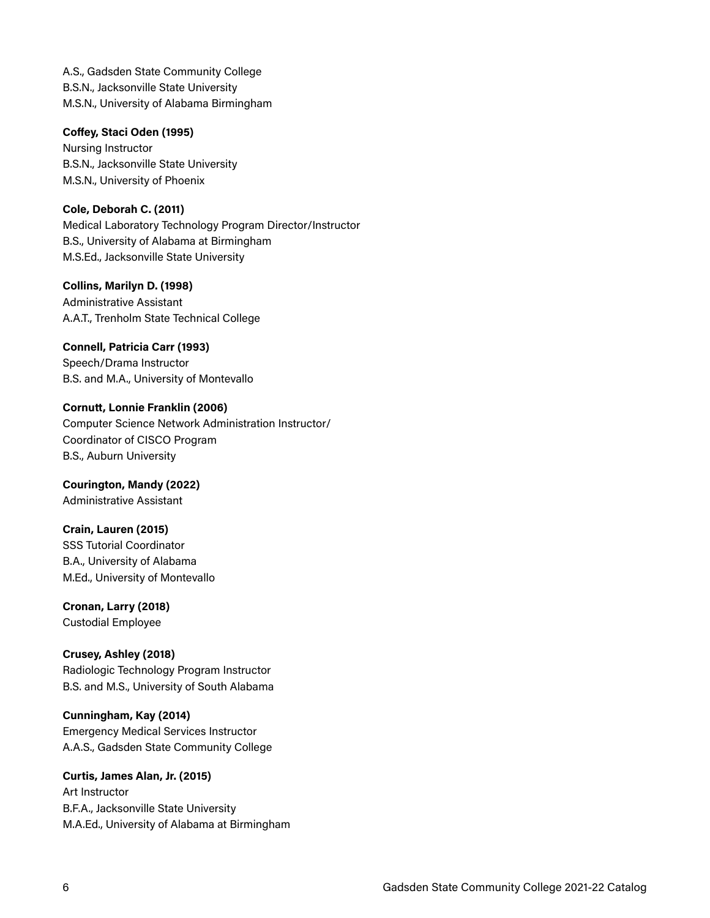A.S., Gadsden State Community College B.S.N., Jacksonville State University M.S.N., University of Alabama Birmingham

#### **Coffey, Staci Oden (1995)**

Nursing Instructor B.S.N., Jacksonville State University M.S.N., University of Phoenix

#### **Cole, Deborah C. (2011)**

Medical Laboratory Technology Program Director/Instructor B.S., University of Alabama at Birmingham M.S.Ed., Jacksonville State University

#### **Collins, Marilyn D. (1998)**

Administrative Assistant A.A.T., Trenholm State Technical College

**Connell, Patricia Carr (1993)**  Speech/Drama Instructor B.S. and M.A., University of Montevallo

**Cornutt, Lonnie Franklin (2006)**  Computer Science Network Administration Instructor/ Coordinator of CISCO Program B.S., Auburn University

**Courington, Mandy (2022)**  Administrative Assistant

#### **Crain, Lauren (2015)**

SSS Tutorial Coordinator B.A., University of Alabama M.Ed., University of Montevallo

#### **Cronan, Larry (2018)**

Custodial Employee

#### **Crusey, Ashley (2018)**

Radiologic Technology Program Instructor B.S. and M.S., University of South Alabama

#### **Cunningham, Kay (2014)**

Emergency Medical Services Instructor A.A.S., Gadsden State Community College

**Curtis, James Alan, Jr. (2015)**  Art Instructor B.F.A., Jacksonville State University M.A.Ed., University of Alabama at Birmingham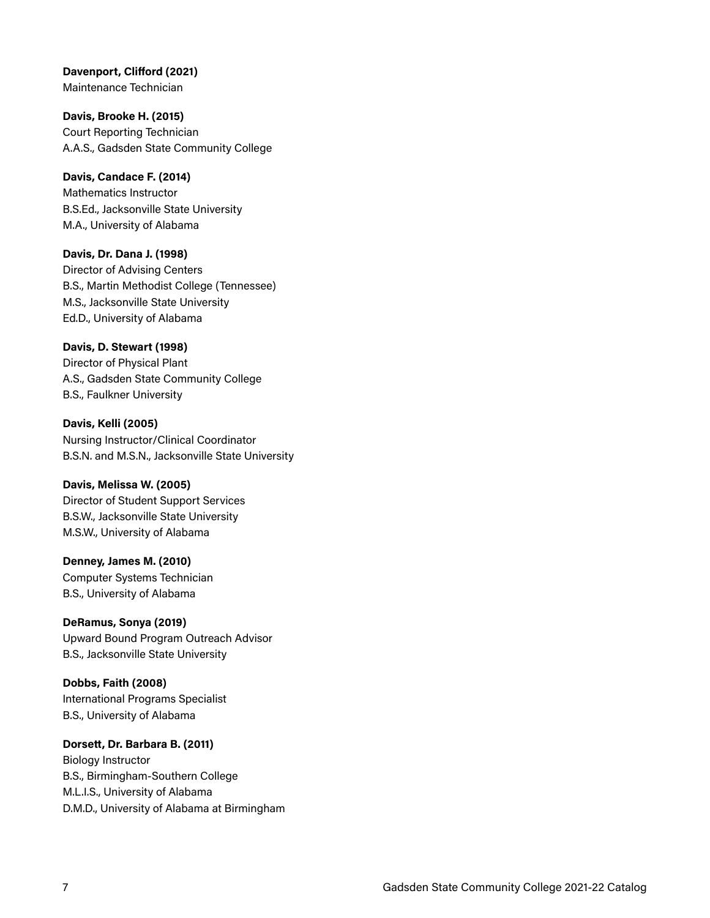**Davenport, Clifford (2021)**  Maintenance Technician

**Davis, Brooke H. (2015)**  Court Reporting Technician A.A.S., Gadsden State Community College

**Davis, Candace F. (2014)**  Mathematics Instructor B.S.Ed., Jacksonville State University M.A., University of Alabama

**Davis, Dr. Dana J. (1998)**  Director of Advising Centers B.S., Martin Methodist College (Tennessee) M.S., Jacksonville State University Ed.D., University of Alabama

**Davis, D. Stewart (1998)**  Director of Physical Plant A.S., Gadsden State Community College B.S., Faulkner University

**Davis, Kelli (2005)**  Nursing Instructor/Clinical Coordinator B.S.N. and M.S.N., Jacksonville State University

#### **Davis, Melissa W. (2005)**  Director of Student Support Services B.S.W., Jacksonville State University

M.S.W., University of Alabama

**Denney, James M. (2010)**  Computer Systems Technician B.S., University of Alabama

**DeRamus, Sonya (2019)**  Upward Bound Program Outreach Advisor B.S., Jacksonville State University

**Dobbs, Faith (2008)**  International Programs Specialist B.S., University of Alabama

## **Dorsett, Dr. Barbara B. (2011)**  Biology Instructor B.S., Birmingham-Southern College

M.L.I.S., University of Alabama D.M.D., University of Alabama at Birmingham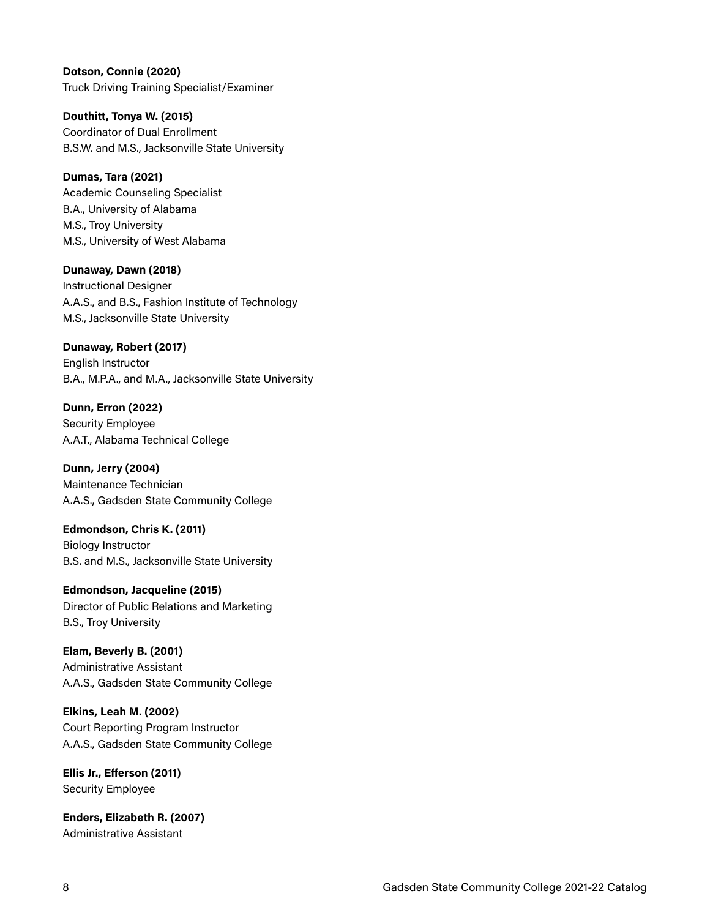**Dotson, Connie (2020)**  Truck Driving Training Specialist/Examiner

**Douthitt, Tonya W. (2015)**  Coordinator of Dual Enrollment B.S.W. and M.S., Jacksonville State University

#### **Dumas, Tara (2021)**

Academic Counseling Specialist B.A., University of Alabama M.S., Troy University M.S., University of West Alabama

#### **Dunaway, Dawn (2018)**

Instructional Designer A.A.S., and B.S., Fashion Institute of Technology M.S., Jacksonville State University

#### **Dunaway, Robert (2017)**

English Instructor B.A., M.P.A., and M.A., Jacksonville State University

**Dunn, Erron (2022)**  Security Employee A.A.T., Alabama Technical College

**Dunn, Jerry (2004)**  Maintenance Technician A.A.S., Gadsden State Community College

**Edmondson, Chris K. (2011)**  Biology Instructor B.S. and M.S., Jacksonville State University

**Edmondson, Jacqueline (2015)**  Director of Public Relations and Marketing B.S., Troy University

**Elam, Beverly B. (2001)**  Administrative Assistant A.A.S., Gadsden State Community College

**Elkins, Leah M. (2002)**  Court Reporting Program Instructor A.A.S., Gadsden State Community College

**Ellis Jr., Efferson (2011)**  Security Employee

**Enders, Elizabeth R. (2007)**  Administrative Assistant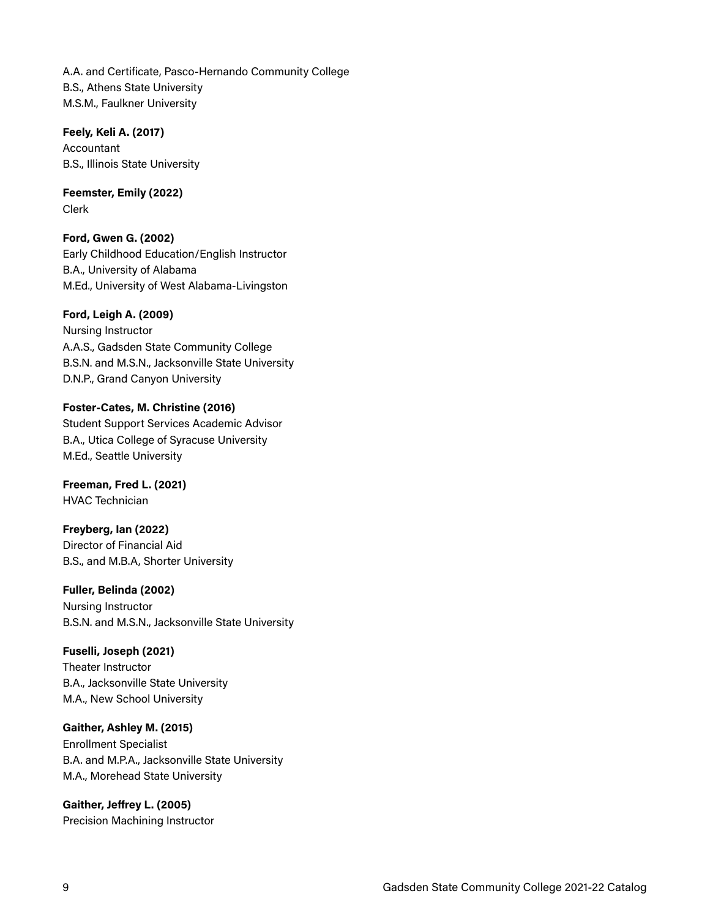A.A. and Certificate, Pasco-Hernando Community College B.S., Athens State University M.S.M., Faulkner University

**Feely, Keli A. (2017)**  Accountant B.S., Illinois State University

**Feemster, Emily (2022)**  Clerk

**Ford, Gwen G. (2002)**  Early Childhood Education/English Instructor B.A., University of Alabama M.Ed., University of West Alabama-Livingston

#### **Ford, Leigh A. (2009)**

Nursing Instructor A.A.S., Gadsden State Community College B.S.N. and M.S.N., Jacksonville State University D.N.P., Grand Canyon University

**Foster-Cates, M. Christine (2016)**  Student Support Services Academic Advisor B.A., Utica College of Syracuse University M.Ed., Seattle University

**Freeman, Fred L. (2021)**  HVAC Technician

**Freyberg, Ian (2022)**  Director of Financial Aid B.S., and M.B.A, Shorter University

**Fuller, Belinda (2002)**  Nursing Instructor B.S.N. and M.S.N., Jacksonville State University

#### **Fuselli, Joseph (2021)**

Theater Instructor B.A., Jacksonville State University M.A., New School University

#### **Gaither, Ashley M. (2015)**

Enrollment Specialist B.A. and M.P.A., Jacksonville State University M.A., Morehead State University

**Gaither, Jeffrey L. (2005)**  Precision Machining Instructor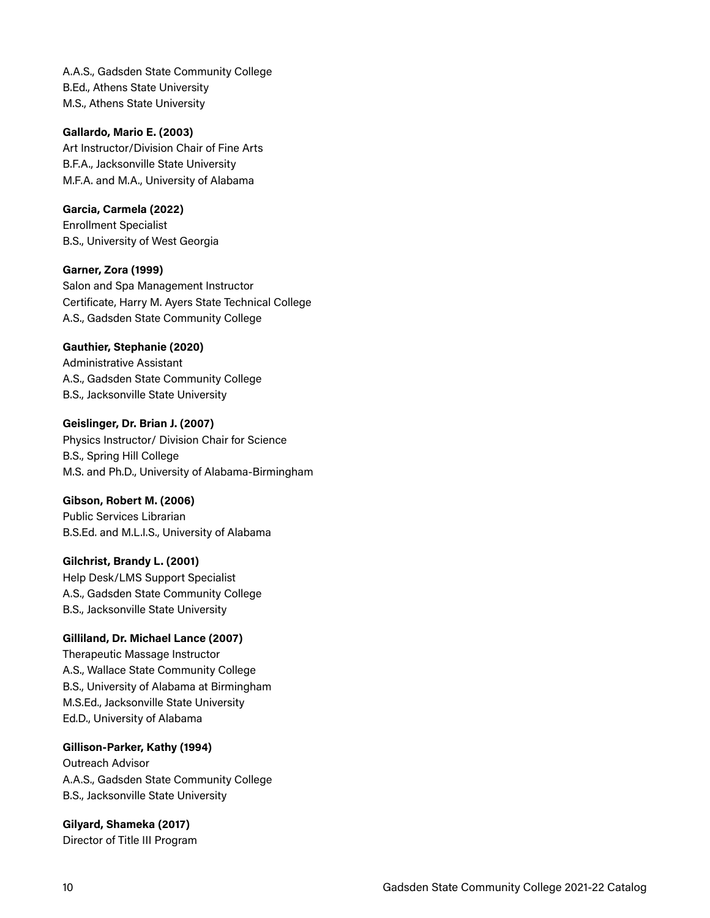A.A.S., Gadsden State Community College B.Ed., Athens State University M.S., Athens State University

#### **Gallardo, Mario E. (2003)**

Art Instructor/Division Chair of Fine Arts B.F.A., Jacksonville State University M.F.A. and M.A., University of Alabama

#### **Garcia, Carmela (2022)**

Enrollment Specialist B.S., University of West Georgia

#### **Garner, Zora (1999)**

Salon and Spa Management Instructor Certificate, Harry M. Ayers State Technical College A.S., Gadsden State Community College

#### **Gauthier, Stephanie (2020)**

Administrative Assistant A.S., Gadsden State Community College B.S., Jacksonville State University

#### **Geislinger, Dr. Brian J. (2007)**  Physics Instructor/ Division Chair for Science B.S., Spring Hill College M.S. and Ph.D., University of Alabama-Birmingham

#### **Gibson, Robert M. (2006)**

Public Services Librarian B.S.Ed. and M.L.I.S., University of Alabama

#### **Gilchrist, Brandy L. (2001)**

Help Desk/LMS Support Specialist A.S., Gadsden State Community College B.S., Jacksonville State University

#### **Gilliland, Dr. Michael Lance (2007)**

Therapeutic Massage Instructor A.S., Wallace State Community College B.S., University of Alabama at Birmingham M.S.Ed., Jacksonville State University Ed.D., University of Alabama

#### **Gillison-Parker, Kathy (1994)**

Outreach Advisor A.A.S., Gadsden State Community College B.S., Jacksonville State University

**Gilyard, Shameka (2017)** Director of Title III Program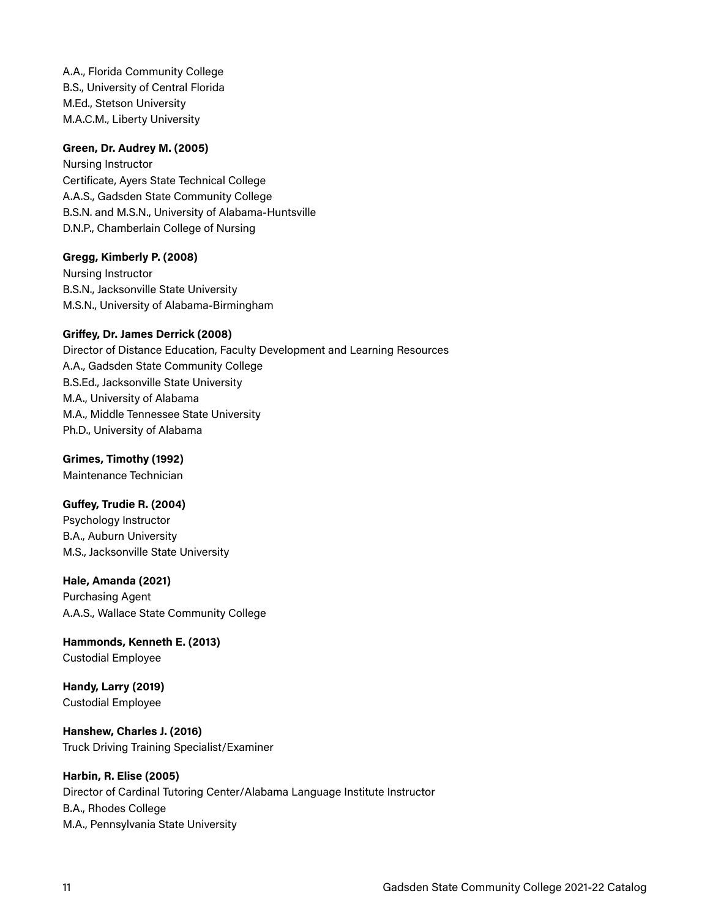A.A., Florida Community College B.S., University of Central Florida M.Ed., Stetson University M.A.C.M., Liberty University

#### **Green, Dr. Audrey M. (2005)**

Nursing Instructor Certificate, Ayers State Technical College A.A.S., Gadsden State Community College B.S.N. and M.S.N., University of Alabama-Huntsville D.N.P., Chamberlain College of Nursing

**Gregg, Kimberly P. (2008)**  Nursing Instructor B.S.N., Jacksonville State University M.S.N., University of Alabama-Birmingham

#### **Griffey, Dr. James Derrick (2008)**

Director of Distance Education, Faculty Development and Learning Resources A.A., Gadsden State Community College B.S.Ed., Jacksonville State University M.A., University of Alabama M.A., Middle Tennessee State University Ph.D., University of Alabama

**Grimes, Timothy (1992)**  Maintenance Technician

**Guffey, Trudie R. (2004)**  Psychology Instructor B.A., Auburn University M.S., Jacksonville State University

## **Hale, Amanda (2021)**

Purchasing Agent A.A.S., Wallace State Community College

**Hammonds, Kenneth E. (2013)**  Custodial Employee

**Handy, Larry (2019)**  Custodial Employee

**Hanshew, Charles J. (2016)**  Truck Driving Training Specialist/Examiner

**Harbin, R. Elise (2005)** 

Director of Cardinal Tutoring Center/Alabama Language Institute Instructor B.A., Rhodes College M.A., Pennsylvania State University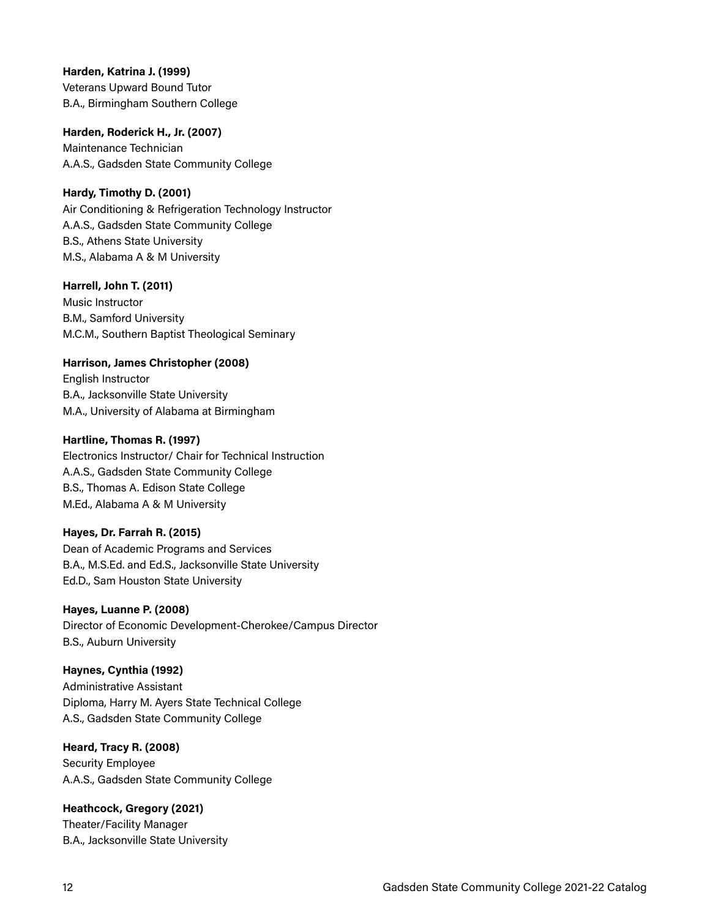**Harden, Katrina J. (1999)**  Veterans Upward Bound Tutor B.A., Birmingham Southern College

**Harden, Roderick H., Jr. (2007)**  Maintenance Technician A.A.S., Gadsden State Community College

**Hardy, Timothy D. (2001)** Air Conditioning & Refrigeration Technology Instructor A.A.S., Gadsden State Community College B.S., Athens State University M.S., Alabama A & M University

**Harrell, John T. (2011)**  Music Instructor B.M., Samford University M.C.M., Southern Baptist Theological Seminary

**Harrison, James Christopher (2008)** English Instructor B.A., Jacksonville State University M.A., University of Alabama at Birmingham

#### **Hartline, Thomas R. (1997)**

Electronics Instructor/ Chair for Technical Instruction A.A.S., Gadsden State Community College B.S., Thomas A. Edison State College M.Ed., Alabama A & M University

#### **Hayes, Dr. Farrah R. (2015)**

Dean of Academic Programs and Services B.A., M.S.Ed. and Ed.S., Jacksonville State University Ed.D., Sam Houston State University

#### **Hayes, Luanne P. (2008)**

Director of Economic Development-Cherokee/Campus Director B.S., Auburn University

#### **Haynes, Cynthia (1992)**

Administrative Assistant Diploma, Harry M. Ayers State Technical College A.S., Gadsden State Community College

**Heard, Tracy R. (2008)** 

Security Employee A.A.S., Gadsden State Community College

**Heathcock, Gregory (2021)**  Theater/Facility Manager B.A., Jacksonville State University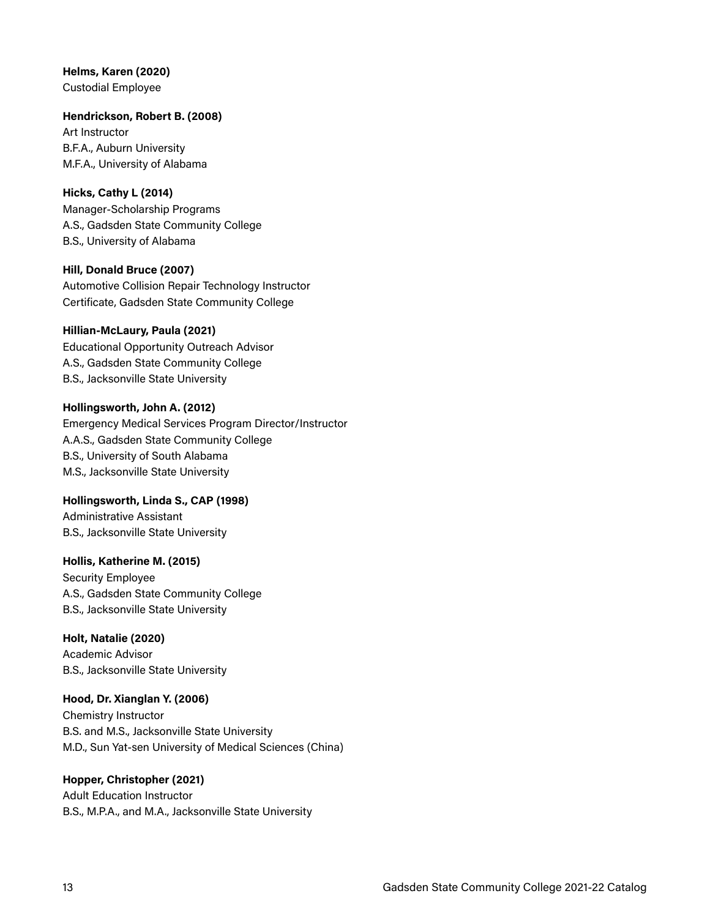## **Helms, Karen (2020)**

Custodial Employee

#### **Hendrickson, Robert B. (2008)**

Art Instructor B.F.A., Auburn University M.F.A., University of Alabama

#### **Hicks, Cathy L (2014)**

Manager-Scholarship Programs A.S., Gadsden State Community College B.S., University of Alabama

#### **Hill, Donald Bruce (2007)**

Automotive Collision Repair Technology Instructor Certificate, Gadsden State Community College

#### **Hillian-McLaury, Paula (2021)**

Educational Opportunity Outreach Advisor A.S., Gadsden State Community College B.S., Jacksonville State University

#### **Hollingsworth, John A. (2012)**

Emergency Medical Services Program Director/Instructor A.A.S., Gadsden State Community College B.S., University of South Alabama M.S., Jacksonville State University

## **Hollingsworth, Linda S., CAP (1998)**

Administrative Assistant B.S., Jacksonville State University

#### **Hollis, Katherine M. (2015)**

Security Employee A.S., Gadsden State Community College B.S., Jacksonville State University

#### **Holt, Natalie (2020)**

Academic Advisor B.S., Jacksonville State University

## **Hood, Dr. Xianglan Y. (2006)**

Chemistry Instructor B.S. and M.S., Jacksonville State University M.D., Sun Yat-sen University of Medical Sciences (China)

#### **Hopper, Christopher (2021)**

Adult Education Instructor B.S., M.P.A., and M.A., Jacksonville State University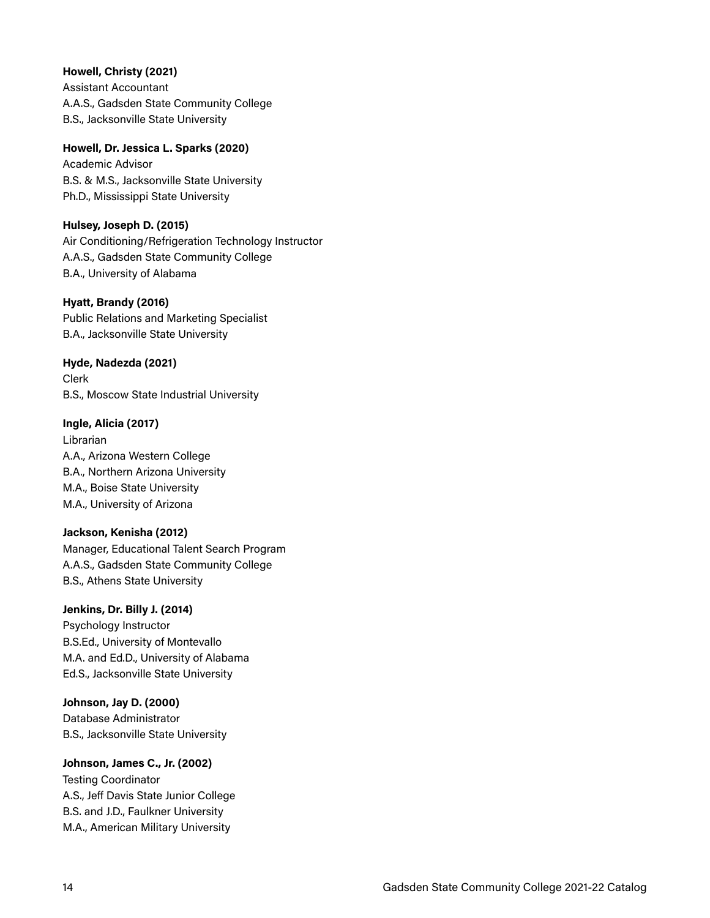#### **Howell, Christy (2021)**

Assistant Accountant A.A.S., Gadsden State Community College B.S., Jacksonville State University

**Howell, Dr. Jessica L. Sparks (2020)**  Academic Advisor B.S. & M.S., Jacksonville State University Ph.D., Mississippi State University

#### **Hulsey, Joseph D. (2015)**

Air Conditioning/Refrigeration Technology Instructor A.A.S., Gadsden State Community College B.A., University of Alabama

#### **Hyatt, Brandy (2016)**

Public Relations and Marketing Specialist B.A., Jacksonville State University

**Hyde, Nadezda (2021)** 

Clerk B.S., Moscow State Industrial University

#### **Ingle, Alicia (2017)**

Librarian A.A., Arizona Western College B.A., Northern Arizona University M.A., Boise State University M.A., University of Arizona

#### **Jackson, Kenisha (2012)**

Manager, Educational Talent Search Program A.A.S., Gadsden State Community College B.S., Athens State University

#### **Jenkins, Dr. Billy J. (2014)**

Psychology Instructor B.S.Ed., University of Montevallo M.A. and Ed.D., University of Alabama Ed.S., Jacksonville State University

#### **Johnson, Jay D. (2000)**

Database Administrator B.S., Jacksonville State University

#### **Johnson, James C., Jr. (2002)**

Testing Coordinator A.S., Jeff Davis State Junior College B.S. and J.D., Faulkner University M.A., American Military University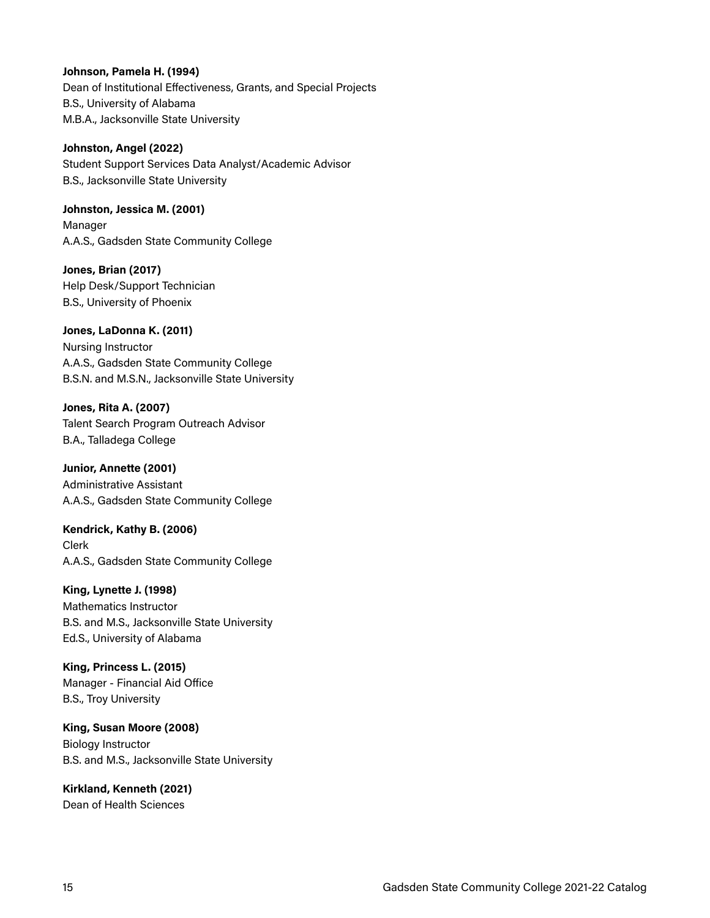#### **Johnson, Pamela H. (1994)**

Dean of Institutional Effectiveness, Grants, and Special Projects B.S., University of Alabama M.B.A., Jacksonville State University

#### **Johnston, Angel (2022)**

Student Support Services Data Analyst/Academic Advisor B.S., Jacksonville State University

**Johnston, Jessica M. (2001)**  Manager A.A.S., Gadsden State Community College

**Jones, Brian (2017)**  Help Desk/Support Technician B.S., University of Phoenix

**Jones, LaDonna K. (2011)** Nursing Instructor A.A.S., Gadsden State Community College B.S.N. and M.S.N., Jacksonville State University

**Jones, Rita A. (2007)**  Talent Search Program Outreach Advisor B.A., Talladega College

**Junior, Annette (2001)**  Administrative Assistant A.A.S., Gadsden State Community College

**Kendrick, Kathy B. (2006)**  Clerk A.A.S., Gadsden State Community College

**King, Lynette J. (1998)**  Mathematics Instructor B.S. and M.S., Jacksonville State University Ed.S., University of Alabama

**King, Princess L. (2015)**  Manager - Financial Aid Office B.S., Troy University

**King, Susan Moore (2008)** Biology Instructor B.S. and M.S., Jacksonville State University

**Kirkland, Kenneth (2021)**  Dean of Health Sciences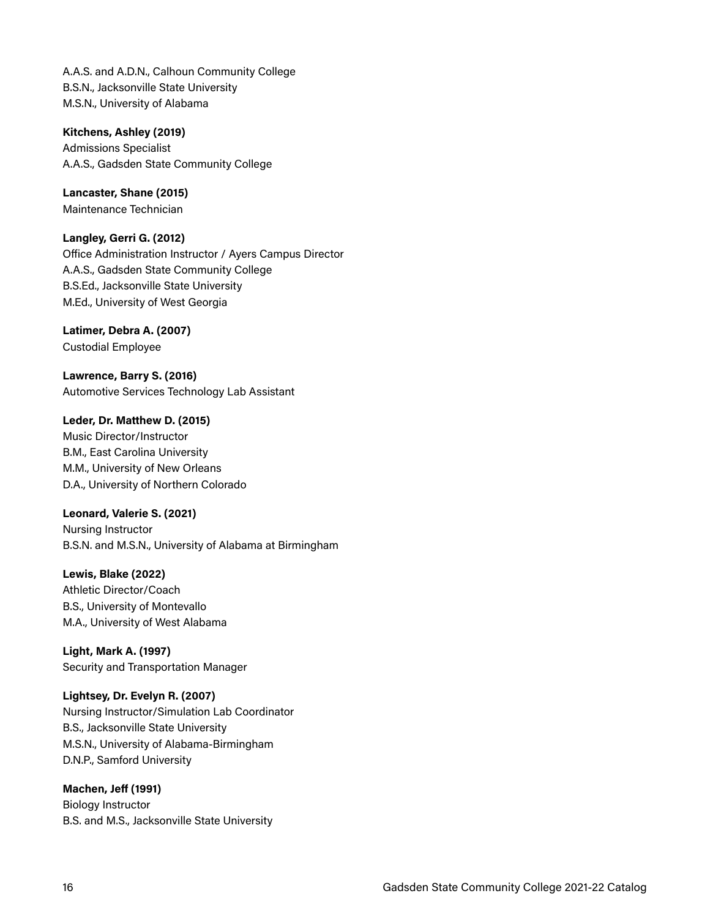A.A.S. and A.D.N., Calhoun Community College B.S.N., Jacksonville State University M.S.N., University of Alabama

**Kitchens, Ashley (2019)**  Admissions Specialist A.A.S., Gadsden State Community College

**Lancaster, Shane (2015)**  Maintenance Technician

**Langley, Gerri G. (2012)**  Office Administration Instructor / Ayers Campus Director A.A.S., Gadsden State Community College B.S.Ed., Jacksonville State University M.Ed., University of West Georgia

**Latimer, Debra A. (2007)**  Custodial Employee

**Lawrence, Barry S. (2016)**  Automotive Services Technology Lab Assistant

**Leder, Dr. Matthew D. (2015)**  Music Director/Instructor B.M., East Carolina University M.M., University of New Orleans D.A., University of Northern Colorado

**Leonard, Valerie S. (2021)**  Nursing Instructor B.S.N. and M.S.N., University of Alabama at Birmingham

**Lewis, Blake (2022)**  Athletic Director/Coach B.S., University of Montevallo M.A., University of West Alabama

**Light, Mark A. (1997)**  Security and Transportation Manager

**Lightsey, Dr. Evelyn R. (2007)**  Nursing Instructor/Simulation Lab Coordinator B.S., Jacksonville State University M.S.N., University of Alabama-Birmingham D.N.P., Samford University

**Machen, Jeff (1991)**  Biology Instructor B.S. and M.S., Jacksonville State University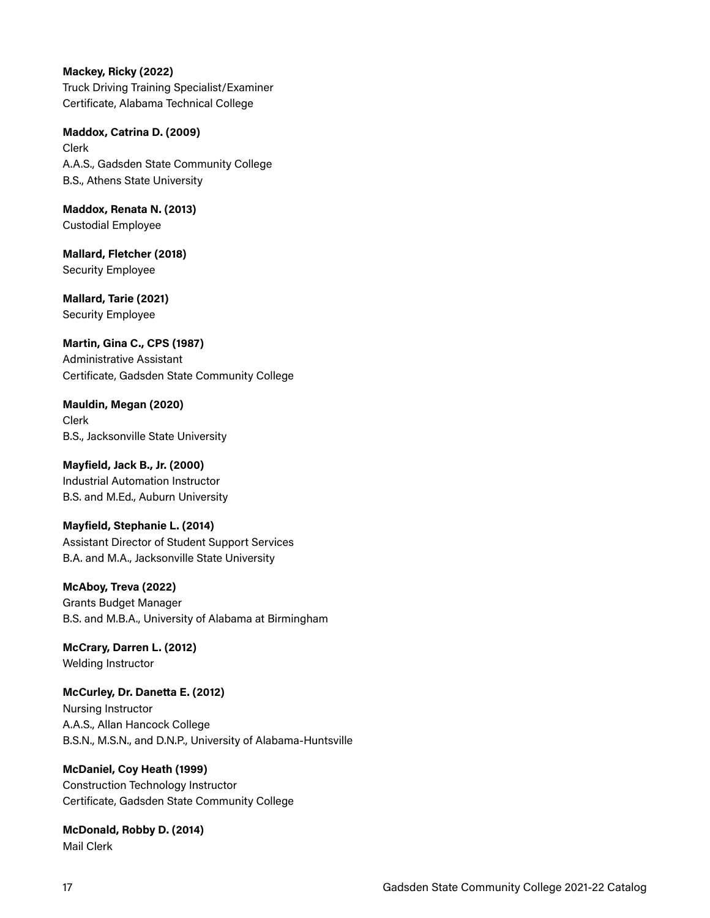**Mackey, Ricky (2022)**  Truck Driving Training Specialist/Examiner Certificate, Alabama Technical College

**Maddox, Catrina D. (2009)**  Clerk A.A.S., Gadsden State Community College B.S., Athens State University

**Maddox, Renata N. (2013)** Custodial Employee

**Mallard, Fletcher (2018)**  Security Employee

**Mallard, Tarie (2021)**  Security Employee

**Martin, Gina C., CPS (1987)**  Administrative Assistant Certificate, Gadsden State Community College

**Mauldin, Megan (2020)**  Clerk B.S., Jacksonville State University

**Mayfield, Jack B., Jr. (2000)**  Industrial Automation Instructor B.S. and M.Ed., Auburn University

**Mayfield, Stephanie L. (2014)**  Assistant Director of Student Support Services B.A. and M.A., Jacksonville State University

**McAboy, Treva (2022)**  Grants Budget Manager B.S. and M.B.A., University of Alabama at Birmingham

**McCrary, Darren L. (2012)**  Welding Instructor

**McCurley, Dr. Danetta E. (2012)**  Nursing Instructor A.A.S., Allan Hancock College B.S.N., M.S.N., and D.N.P., University of Alabama-Huntsville

#### **McDaniel, Coy Heath (1999)**  Construction Technology Instructor Certificate, Gadsden State Community College

**McDonald, Robby D. (2014)**  Mail Clerk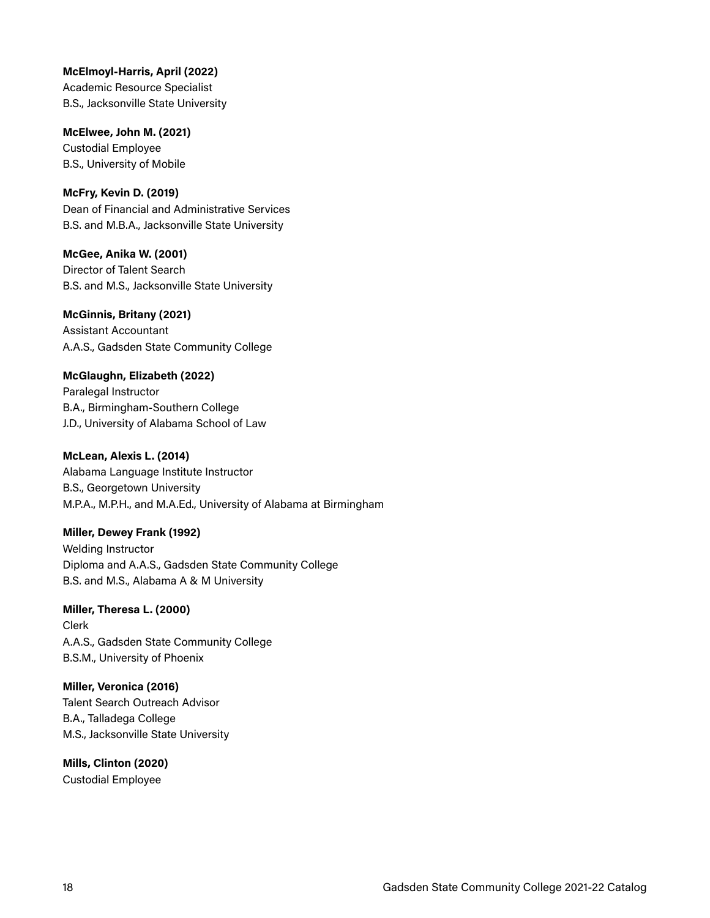**McElmoyl-Harris, April (2022)**  Academic Resource Specialist B.S., Jacksonville State University

**McElwee, John M. (2021)**  Custodial Employee B.S., University of Mobile

**McFry, Kevin D. (2019)**  Dean of Financial and Administrative Services B.S. and M.B.A., Jacksonville State University

**McGee, Anika W. (2001)**  Director of Talent Search B.S. and M.S., Jacksonville State University

**McGinnis, Britany (2021)**  Assistant Accountant A.A.S., Gadsden State Community College

**McGlaughn, Elizabeth (2022)**  Paralegal Instructor B.A., Birmingham-Southern College J.D., University of Alabama School of Law

**McLean, Alexis L. (2014)**  Alabama Language Institute Instructor B.S., Georgetown University M.P.A., M.P.H., and M.A.Ed., University of Alabama at Birmingham

**Miller, Dewey Frank (1992)**  Welding Instructor Diploma and A.A.S., Gadsden State Community College B.S. and M.S., Alabama A & M University

**Miller, Theresa L. (2000)**  Clerk A.A.S., Gadsden State Community College B.S.M., University of Phoenix

**Miller, Veronica (2016)**  Talent Search Outreach Advisor B.A., Talladega College M.S., Jacksonville State University

**Mills, Clinton (2020)**  Custodial Employee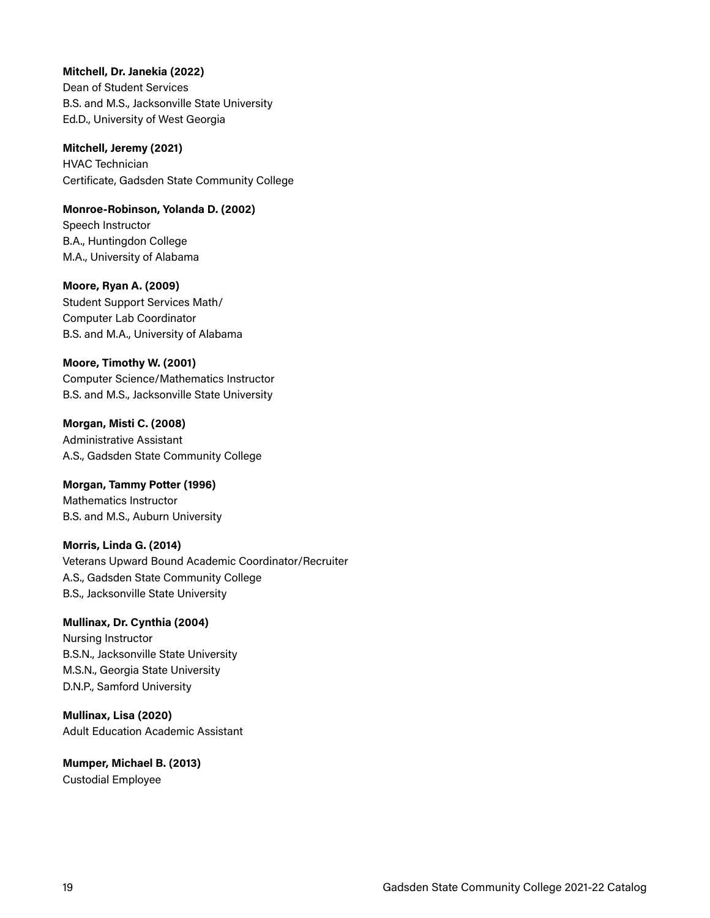#### **Mitchell, Dr. Janekia (2022)**

Dean of Student Services B.S. and M.S., Jacksonville State University Ed.D., University of West Georgia

**Mitchell, Jeremy (2021)** 

HVAC Technician Certificate, Gadsden State Community College

**Monroe-Robinson, Yolanda D. (2002)**  Speech Instructor B.A., Huntingdon College M.A., University of Alabama

**Moore, Ryan A. (2009)**  Student Support Services Math/ Computer Lab Coordinator

B.S. and M.A., University of Alabama

#### **Moore, Timothy W. (2001)**

Computer Science/Mathematics Instructor B.S. and M.S., Jacksonville State University

**Morgan, Misti C. (2008)**  Administrative Assistant A.S., Gadsden State Community College

**Morgan, Tammy Potter (1996)**  Mathematics Instructor B.S. and M.S., Auburn University

**Morris, Linda G. (2014)**  Veterans Upward Bound Academic Coordinator/Recruiter A.S., Gadsden State Community College B.S., Jacksonville State University

#### **Mullinax, Dr. Cynthia (2004)**  Nursing Instructor

B.S.N., Jacksonville State University M.S.N., Georgia State University D.N.P., Samford University

**Mullinax, Lisa (2020)**  Adult Education Academic Assistant

**Mumper, Michael B. (2013)**  Custodial Employee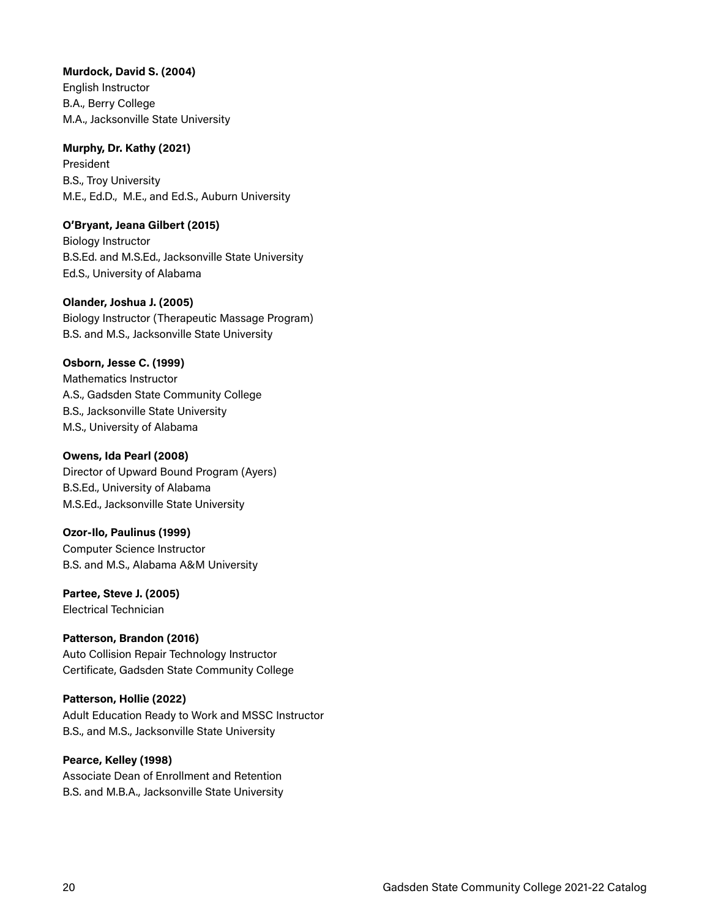#### **Murdock, David S. (2004)**

English Instructor B.A., Berry College M.A., Jacksonville State University

#### **Murphy, Dr. Kathy (2021)**

President B.S., Troy University M.E., Ed.D., M.E., and Ed.S., Auburn University

#### **O'Bryant, Jeana Gilbert (2015)**

Biology Instructor B.S.Ed. and M.S.Ed., Jacksonville State University Ed.S., University of Alabama

#### **Olander, Joshua J. (2005)**

Biology Instructor (Therapeutic Massage Program) B.S. and M.S., Jacksonville State University

#### **Osborn, Jesse C. (1999)**

Mathematics Instructor A.S., Gadsden State Community College B.S., Jacksonville State University M.S., University of Alabama

#### **Owens, Ida Pearl (2008)**

Director of Upward Bound Program (Ayers) B.S.Ed., University of Alabama M.S.Ed., Jacksonville State University

#### **Ozor-Ilo, Paulinus (1999)**

Computer Science Instructor B.S. and M.S., Alabama A&M University

#### **Partee, Steve J. (2005)**  Electrical Technician

#### **Patterson, Brandon (2016)** Auto Collision Repair Technology Instructor Certificate, Gadsden State Community College

## **Patterson, Hollie (2022)**

Adult Education Ready to Work and MSSC Instructor B.S., and M.S., Jacksonville State University

## **Pearce, Kelley (1998)**

Associate Dean of Enrollment and Retention B.S. and M.B.A., Jacksonville State University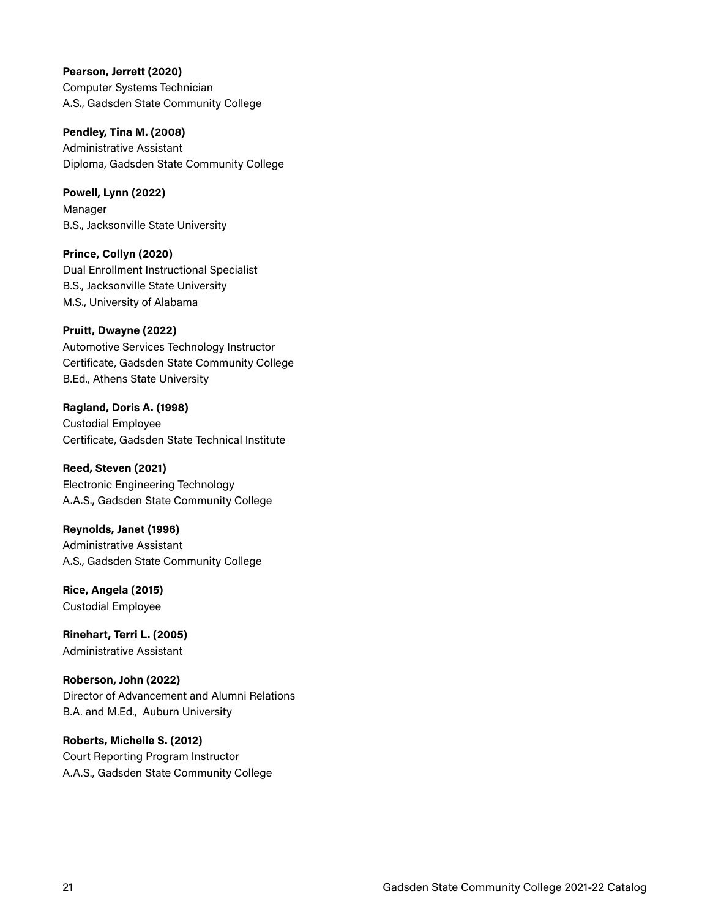**Pearson, Jerrett (2020)**  Computer Systems Technician A.S., Gadsden State Community College

**Pendley, Tina M. (2008)**  Administrative Assistant Diploma, Gadsden State Community College

**Powell, Lynn (2022)**  Manager B.S., Jacksonville State University

**Prince, Collyn (2020)**  Dual Enrollment Instructional Specialist B.S., Jacksonville State University M.S., University of Alabama

**Pruitt, Dwayne (2022)**  Automotive Services Technology Instructor Certificate, Gadsden State Community College B.Ed., Athens State University

**Ragland, Doris A. (1998)**  Custodial Employee Certificate, Gadsden State Technical Institute

**Reed, Steven (2021)**  Electronic Engineering Technology A.A.S., Gadsden State Community College

**Reynolds, Janet (1996)**  Administrative Assistant A.S., Gadsden State Community College

**Rice, Angela (2015)**  Custodial Employee

**Rinehart, Terri L. (2005)**  Administrative Assistant

**Roberson, John (2022)**  Director of Advancement and Alumni Relations B.A. and M.Ed., Auburn University

**Roberts, Michelle S. (2012)**  Court Reporting Program Instructor A.A.S., Gadsden State Community College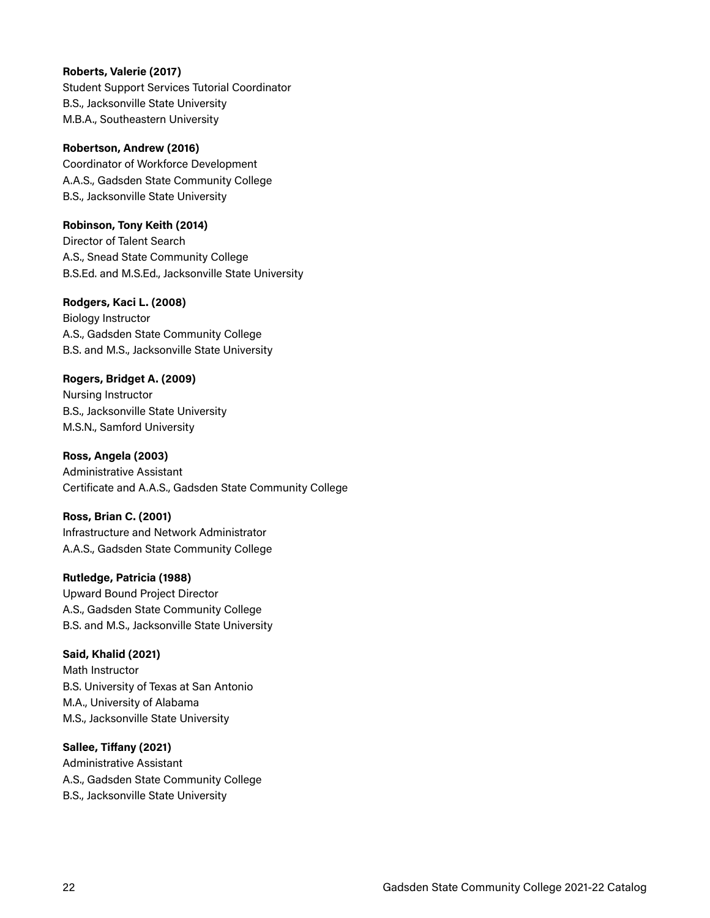#### **Roberts, Valerie (2017)**

Student Support Services Tutorial Coordinator B.S., Jacksonville State University M.B.A., Southeastern University

#### **Robertson, Andrew (2016)**

Coordinator of Workforce Development A.A.S., Gadsden State Community College B.S., Jacksonville State University

#### **Robinson, Tony Keith (2014)**

Director of Talent Search A.S., Snead State Community College B.S.Ed. and M.S.Ed., Jacksonville State University

#### **Rodgers, Kaci L. (2008)**

Biology Instructor A.S., Gadsden State Community College B.S. and M.S., Jacksonville State University

#### **Rogers, Bridget A. (2009)**

Nursing Instructor B.S., Jacksonville State University M.S.N., Samford University

#### **Ross, Angela (2003)**  Administrative Assistant Certificate and A.A.S., Gadsden State Community College

#### **Ross, Brian C. (2001)**

Infrastructure and Network Administrator A.A.S., Gadsden State Community College

#### **Rutledge, Patricia (1988)**

Upward Bound Project Director A.S., Gadsden State Community College B.S. and M.S., Jacksonville State University

#### **Said, Khalid (2021)**

Math Instructor B.S. University of Texas at San Antonio M.A., University of Alabama M.S., Jacksonville State University

#### **Sallee, Tiffany (2021)**

Administrative Assistant A.S., Gadsden State Community College B.S., Jacksonville State University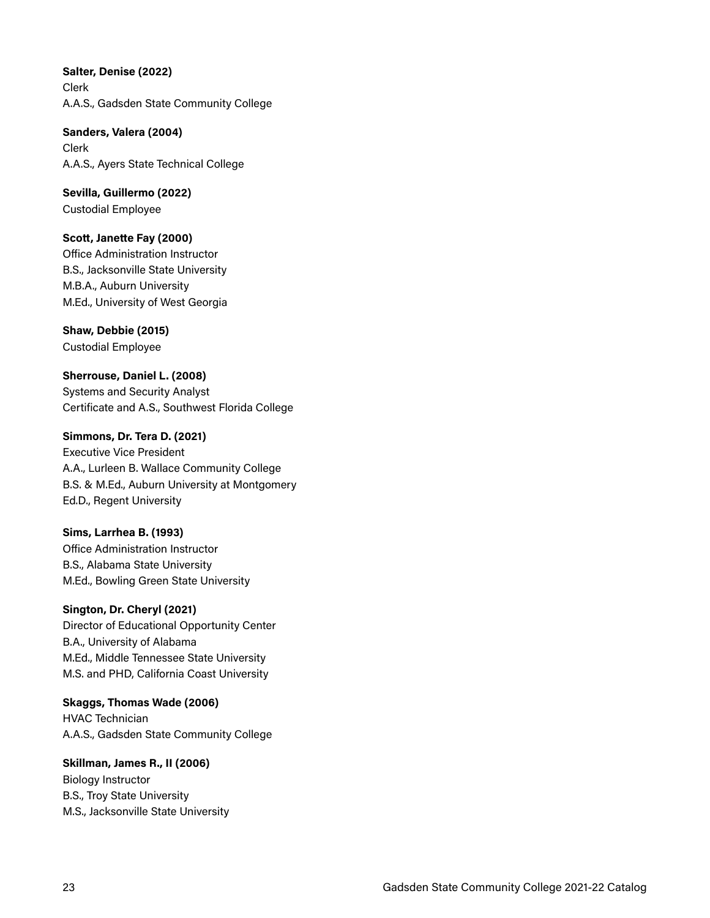**Salter, Denise (2022)**  Clerk A.A.S., Gadsden State Community College

**Sanders, Valera (2004)**  Clerk A.A.S., Ayers State Technical College

**Sevilla, Guillermo (2022)**  Custodial Employee

**Scott, Janette Fay (2000)**  Office Administration Instructor B.S., Jacksonville State University M.B.A., Auburn University M.Ed., University of West Georgia

**Shaw, Debbie (2015)**  Custodial Employee

**Sherrouse, Daniel L. (2008)**  Systems and Security Analyst Certificate and A.S., Southwest Florida College

**Simmons, Dr. Tera D. (2021)**  Executive Vice President A.A., Lurleen B. Wallace Community College B.S. & M.Ed., Auburn University at Montgomery Ed.D., Regent University

**Sims, Larrhea B. (1993)**  Office Administration Instructor B.S., Alabama State University M.Ed., Bowling Green State University

**Sington, Dr. Cheryl (2021)**  Director of Educational Opportunity Center B.A., University of Alabama M.Ed., Middle Tennessee State University M.S. and PHD, California Coast University

**Skaggs, Thomas Wade (2006)**  HVAC Technician A.A.S., Gadsden State Community College

**Skillman, James R., II (2006)**  Biology Instructor B.S., Troy State University M.S., Jacksonville State University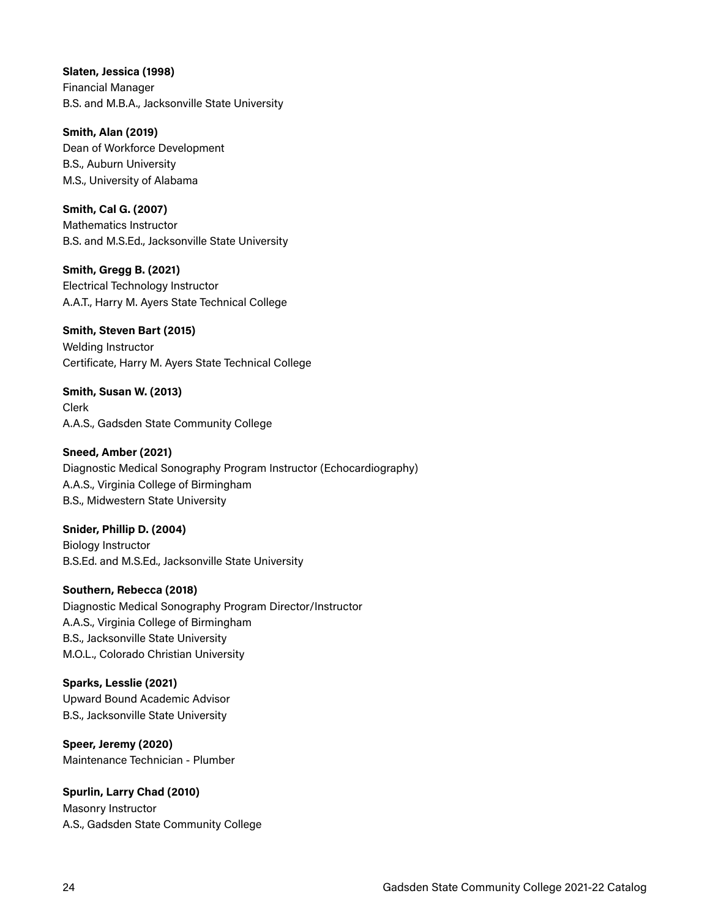**Slaten, Jessica (1998)**  Financial Manager B.S. and M.B.A., Jacksonville State University

**Smith, Alan (2019)**  Dean of Workforce Development B.S., Auburn University M.S., University of Alabama

**Smith, Cal G. (2007)**  Mathematics Instructor B.S. and M.S.Ed., Jacksonville State University

**Smith, Gregg B. (2021)**  Electrical Technology Instructor A.A.T., Harry M. Ayers State Technical College

**Smith, Steven Bart (2015)**  Welding Instructor Certificate, Harry M. Ayers State Technical College

**Smith, Susan W. (2013)**  Clerk A.A.S., Gadsden State Community College

**Sneed, Amber (2021)**  Diagnostic Medical Sonography Program Instructor (Echocardiography) A.A.S., Virginia College of Birmingham B.S., Midwestern State University

**Snider, Phillip D. (2004)**  Biology Instructor B.S.Ed. and M.S.Ed., Jacksonville State University

**Southern, Rebecca (2018)** Diagnostic Medical Sonography Program Director/Instructor A.A.S., Virginia College of Birmingham B.S., Jacksonville State University M.O.L., Colorado Christian University

**Sparks, Lesslie (2021)**  Upward Bound Academic Advisor B.S., Jacksonville State University

**Speer, Jeremy (2020)**  Maintenance Technician - Plumber

**Spurlin, Larry Chad (2010)** Masonry Instructor A.S., Gadsden State Community College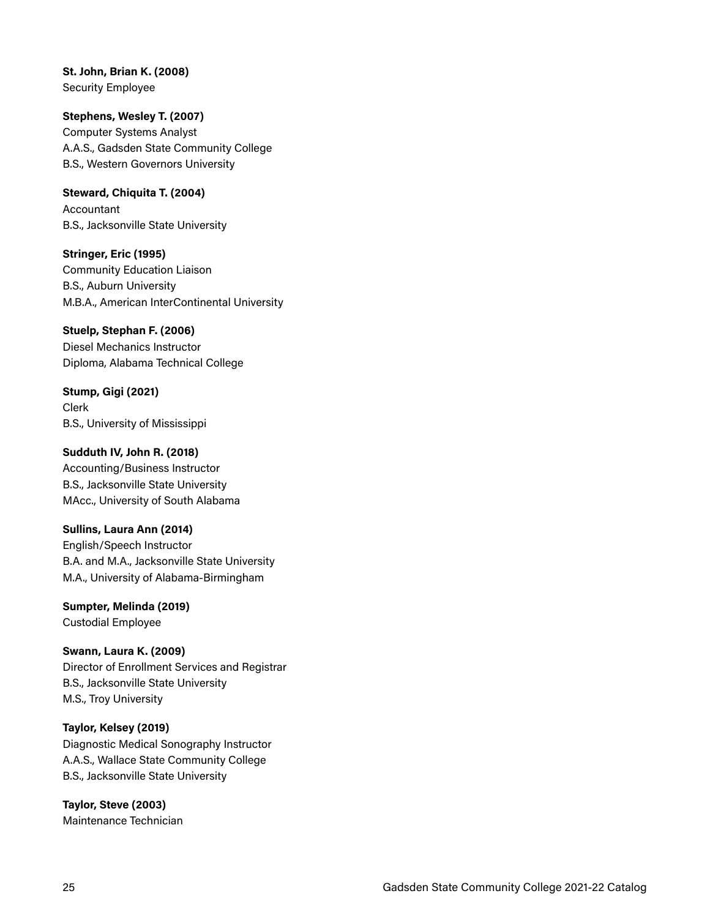**St. John, Brian K. (2008)**  Security Employee

**Stephens, Wesley T. (2007)**  Computer Systems Analyst A.A.S., Gadsden State Community College B.S., Western Governors University

**Steward, Chiquita T. (2004)**  Accountant B.S., Jacksonville State University

**Stringer, Eric (1995)**  Community Education Liaison B.S., Auburn University M.B.A., American InterContinental University

**Stuelp, Stephan F. (2006)**  Diesel Mechanics Instructor Diploma, Alabama Technical College

**Stump, Gigi (2021)**  Clerk B.S., University of Mississippi

**Sudduth IV, John R. (2018)**  Accounting/Business Instructor B.S., Jacksonville State University MAcc., University of South Alabama

**Sullins, Laura Ann (2014)**  English/Speech Instructor B.A. and M.A., Jacksonville State University M.A., University of Alabama-Birmingham

**Sumpter, Melinda (2019)**  Custodial Employee **Swann, Laura K. (2009)** 

Director of Enrollment Services and Registrar B.S., Jacksonville State University M.S., Troy University

**Taylor, Kelsey (2019)**  Diagnostic Medical Sonography Instructor A.A.S., Wallace State Community College B.S., Jacksonville State University

**Taylor, Steve (2003)**  Maintenance Technician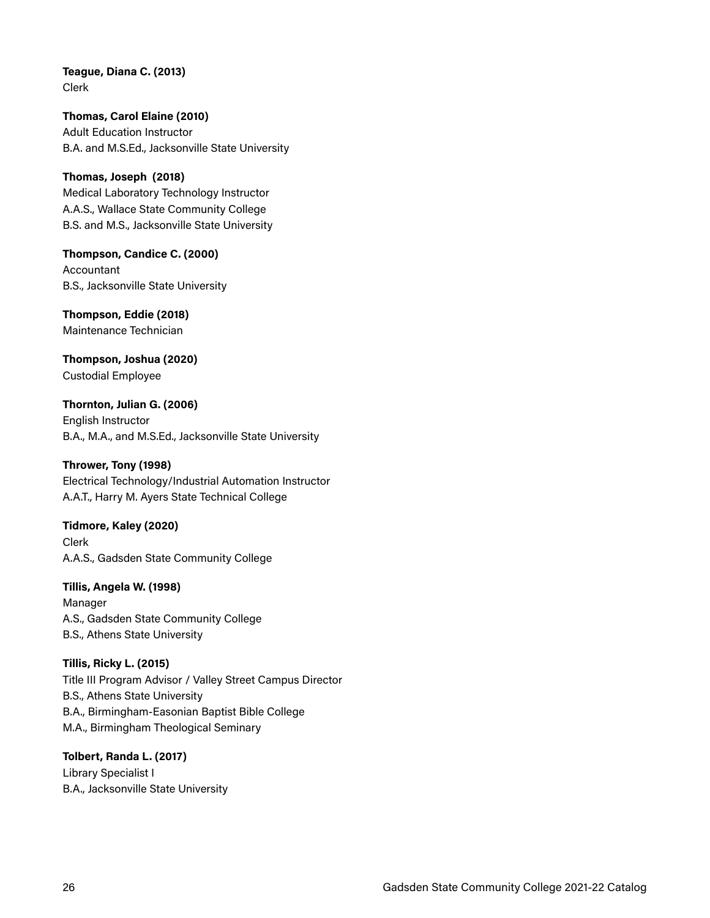**Teague, Diana C. (2013)**  Clerk

**Thomas, Carol Elaine (2010)**  Adult Education Instructor B.A. and M.S.Ed., Jacksonville State University

**Thomas, Joseph (2018)**  Medical Laboratory Technology Instructor A.A.S., Wallace State Community College B.S. and M.S., Jacksonville State University

**Thompson, Candice C. (2000)**  Accountant B.S., Jacksonville State University

**Thompson, Eddie (2018)**  Maintenance Technician

**Thompson, Joshua (2020)**  Custodial Employee

**Thornton, Julian G. (2006)**  English Instructor B.A., M.A., and M.S.Ed., Jacksonville State University

**Thrower, Tony (1998)** 

Electrical Technology/Industrial Automation Instructor A.A.T., Harry M. Ayers State Technical College

**Tidmore, Kaley (2020)**  Clerk A.A.S., Gadsden State Community College

**Tillis, Angela W. (1998)**  Manager A.S., Gadsden State Community College B.S., Athens State University

**Tillis, Ricky L. (2015)**  Title III Program Advisor / Valley Street Campus Director B.S., Athens State University B.A., Birmingham-Easonian Baptist Bible College M.A., Birmingham Theological Seminary

**Tolbert, Randa L. (2017)**  Library Specialist I B.A., Jacksonville State University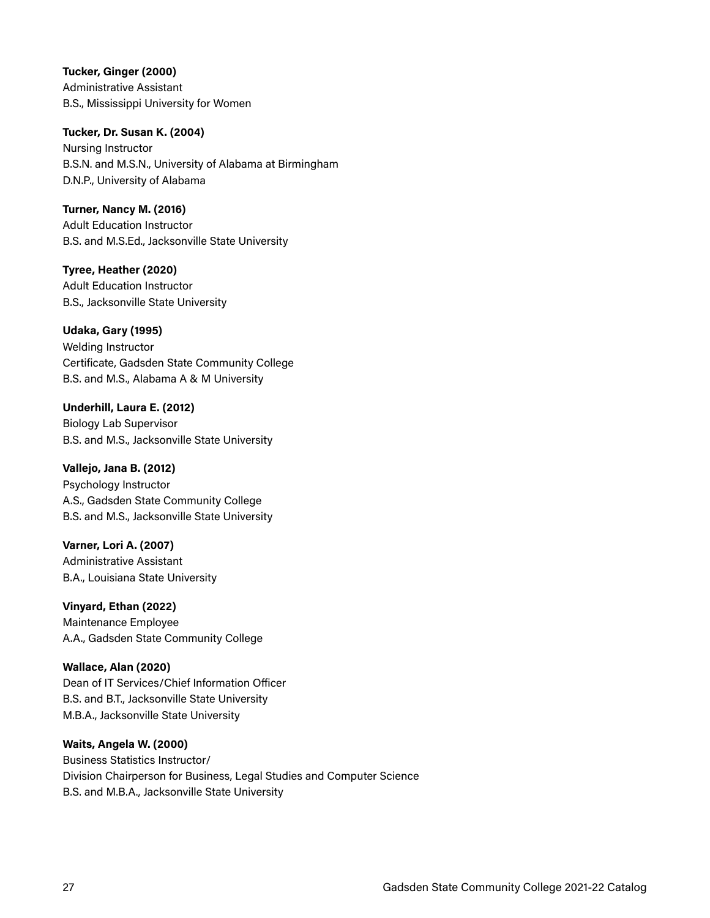**Tucker, Ginger (2000)**  Administrative Assistant B.S., Mississippi University for Women

#### **Tucker, Dr. Susan K. (2004)**

Nursing Instructor B.S.N. and M.S.N., University of Alabama at Birmingham D.N.P., University of Alabama

#### **Turner, Nancy M. (2016)**

Adult Education Instructor B.S. and M.S.Ed., Jacksonville State University

**Tyree, Heather (2020)**  Adult Education Instructor B.S., Jacksonville State University

**Udaka, Gary (1995)**  Welding Instructor Certificate, Gadsden State Community College B.S. and M.S., Alabama A & M University

**Underhill, Laura E. (2012)**  Biology Lab Supervisor B.S. and M.S., Jacksonville State University

**Vallejo, Jana B. (2012)**  Psychology Instructor A.S., Gadsden State Community College B.S. and M.S., Jacksonville State University

**Varner, Lori A. (2007)**  Administrative Assistant B.A., Louisiana State University

**Vinyard, Ethan (2022)**  Maintenance Employee A.A., Gadsden State Community College

**Wallace, Alan (2020)**  Dean of IT Services/Chief Information Officer B.S. and B.T., Jacksonville State University M.B.A., Jacksonville State University

#### **Waits, Angela W. (2000)**

Business Statistics Instructor/ Division Chairperson for Business, Legal Studies and Computer Science B.S. and M.B.A., Jacksonville State University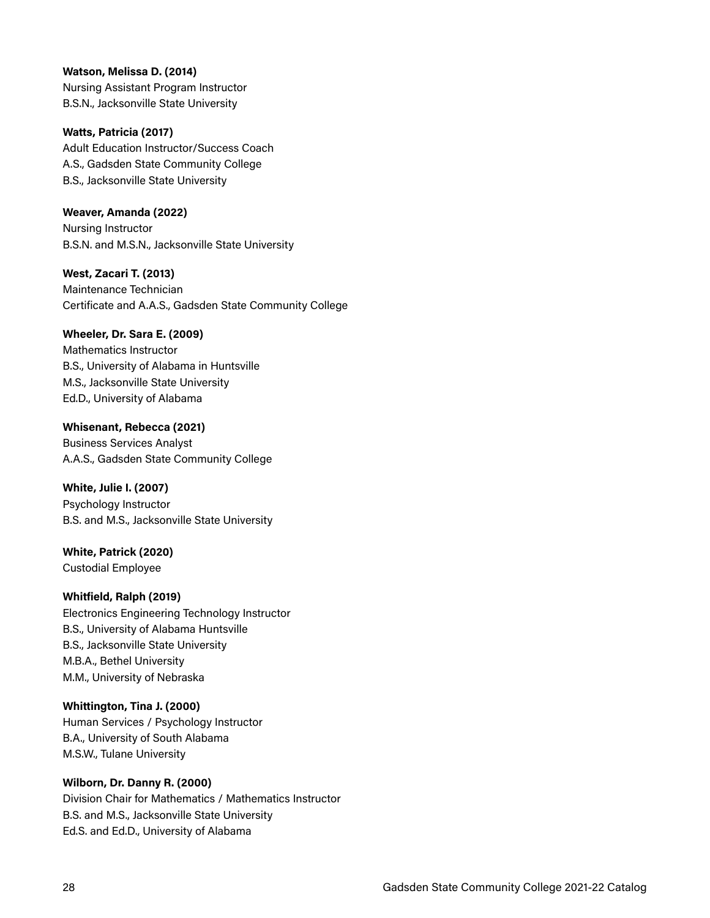**Watson, Melissa D. (2014)** Nursing Assistant Program Instructor B.S.N., Jacksonville State University

**Watts, Patricia (2017)**  Adult Education Instructor/Success Coach A.S., Gadsden State Community College B.S., Jacksonville State University

**Weaver, Amanda (2022)**  Nursing Instructor B.S.N. and M.S.N., Jacksonville State University

**West, Zacari T. (2013)**  Maintenance Technician Certificate and A.A.S., Gadsden State Community College

#### **Wheeler, Dr. Sara E. (2009)**

Mathematics Instructor B.S., University of Alabama in Huntsville M.S., Jacksonville State University Ed.D., University of Alabama

**Whisenant, Rebecca (2021)**  Business Services Analyst A.A.S., Gadsden State Community College

**White, Julie I. (2007)**  Psychology Instructor B.S. and M.S., Jacksonville State University

**White, Patrick (2020)**  Custodial Employee

#### **Whitfield, Ralph (2019)**

Electronics Engineering Technology Instructor B.S., University of Alabama Huntsville B.S., Jacksonville State University M.B.A., Bethel University M.M., University of Nebraska

**Whittington, Tina J. (2000)**  Human Services / Psychology Instructor B.A., University of South Alabama M.S.W., Tulane University

**Wilborn, Dr. Danny R. (2000)**  Division Chair for Mathematics / Mathematics Instructor B.S. and M.S., Jacksonville State University Ed.S. and Ed.D., University of Alabama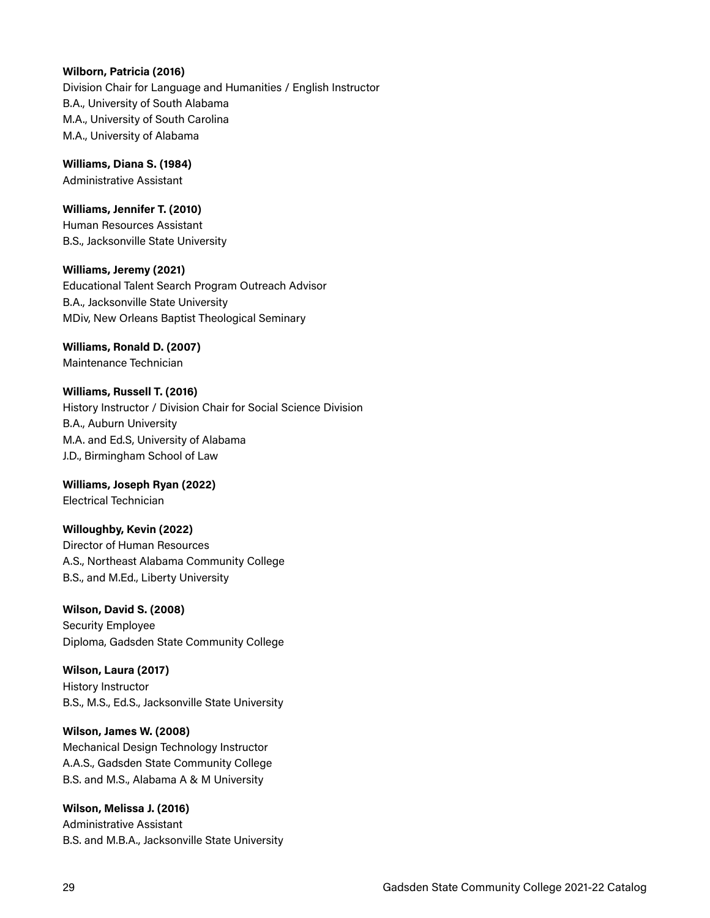#### **Wilborn, Patricia (2016)**

Division Chair for Language and Humanities / English Instructor B.A., University of South Alabama M.A., University of South Carolina M.A., University of Alabama

#### **Williams, Diana S. (1984)**

Administrative Assistant

#### **Williams, Jennifer T. (2010)**

Human Resources Assistant B.S., Jacksonville State University

#### **Williams, Jeremy (2021)**

Educational Talent Search Program Outreach Advisor B.A., Jacksonville State University MDiv, New Orleans Baptist Theological Seminary

## **Williams, Ronald D. (2007)**

Maintenance Technician

#### **Williams, Russell T. (2016)**

History Instructor / Division Chair for Social Science Division B.A., Auburn University M.A. and Ed.S, University of Alabama J.D., Birmingham School of Law

#### **Williams, Joseph Ryan (2022)**  Electrical Technician

#### **Willoughby, Kevin (2022)**

Director of Human Resources A.S., Northeast Alabama Community College B.S., and M.Ed., Liberty University

#### **Wilson, David S. (2008)**

Security Employee Diploma, Gadsden State Community College

#### **Wilson, Laura (2017)**

History Instructor B.S., M.S., Ed.S., Jacksonville State University

#### **Wilson, James W. (2008)**

Mechanical Design Technology Instructor A.A.S., Gadsden State Community College B.S. and M.S., Alabama A & M University

#### **Wilson, Melissa J. (2016)**  Administrative Assistant B.S. and M.B.A., Jacksonville State University